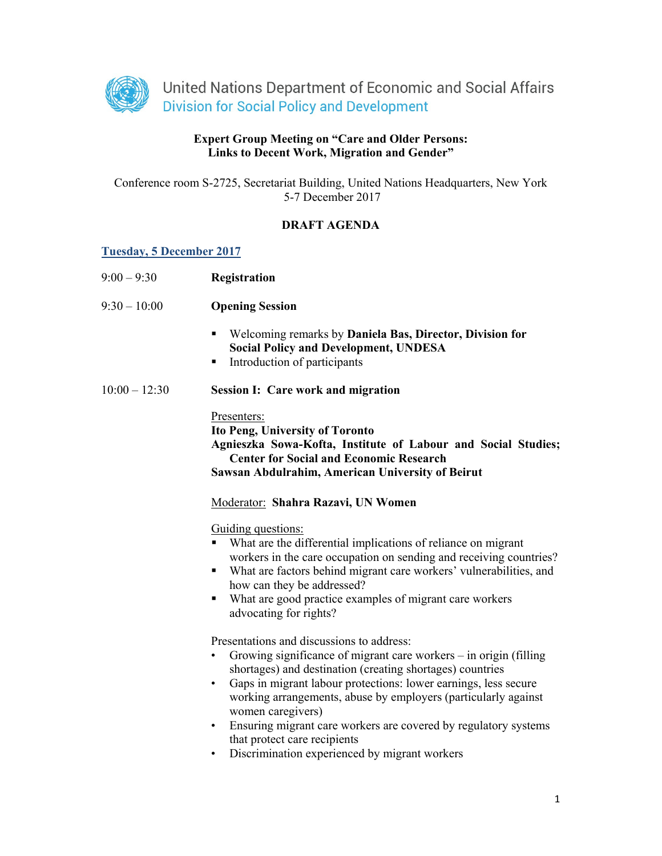

## **Expert Group Meeting on "Care and Older Persons: Links to Decent Work, Migration and Gender"**

Conference room S-2725, Secretariat Building, United Nations Headquarters, New York 5-7 December 2017

### **DRAFT AGENDA**

#### **Tuesday, 5 December 2017**

| $9:00 - 9:30$   | Registration                                                                                                                                                                                                                                                                                                                                                                                                                                                                                                          |
|-----------------|-----------------------------------------------------------------------------------------------------------------------------------------------------------------------------------------------------------------------------------------------------------------------------------------------------------------------------------------------------------------------------------------------------------------------------------------------------------------------------------------------------------------------|
| $9:30 - 10:00$  | <b>Opening Session</b>                                                                                                                                                                                                                                                                                                                                                                                                                                                                                                |
|                 | Welcoming remarks by Daniela Bas, Director, Division for<br>٠<br><b>Social Policy and Development, UNDESA</b><br>Introduction of participants<br>٠                                                                                                                                                                                                                                                                                                                                                                    |
| $10:00 - 12:30$ | <b>Session I: Care work and migration</b>                                                                                                                                                                                                                                                                                                                                                                                                                                                                             |
|                 | Presenters:<br><b>Ito Peng, University of Toronto</b><br>Agnieszka Sowa-Kofta, Institute of Labour and Social Studies;<br><b>Center for Social and Economic Research</b><br>Sawsan Abdulrahim, American University of Beirut                                                                                                                                                                                                                                                                                          |
|                 | Moderator: Shahra Razavi, UN Women                                                                                                                                                                                                                                                                                                                                                                                                                                                                                    |
|                 | Guiding questions:<br>What are the differential implications of reliance on migrant<br>workers in the care occupation on sending and receiving countries?<br>What are factors behind migrant care workers' vulnerabilities, and<br>٠<br>how can they be addressed?<br>What are good practice examples of migrant care workers<br>٠<br>advocating for rights?                                                                                                                                                          |
|                 | Presentations and discussions to address:<br>Growing significance of migrant care workers – in origin (filling<br>٠<br>shortages) and destination (creating shortages) countries<br>Gaps in migrant labour protections: lower earnings, less secure<br>٠<br>working arrangements, abuse by employers (particularly against<br>women caregivers)<br>Ensuring migrant care workers are covered by regulatory systems<br>٠<br>that protect care recipients<br>Discrimination experienced by migrant workers<br>$\bullet$ |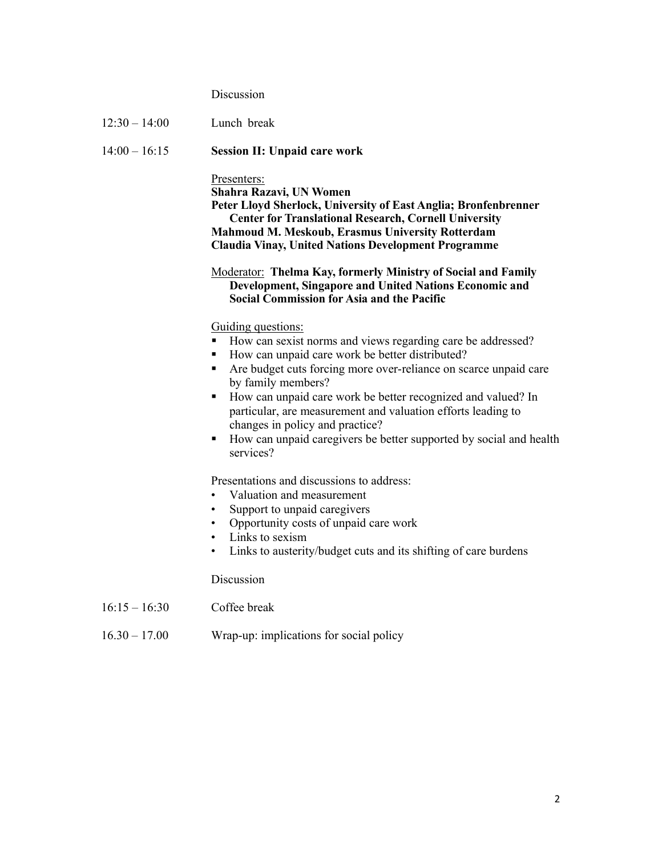# Discussion

| $12:30 - 14:00$ | Lunch break                                                                                                                                                                                                                                                                                                                                                                                                                                                                                              |
|-----------------|----------------------------------------------------------------------------------------------------------------------------------------------------------------------------------------------------------------------------------------------------------------------------------------------------------------------------------------------------------------------------------------------------------------------------------------------------------------------------------------------------------|
| $14:00 - 16:15$ | <b>Session II: Unpaid care work</b>                                                                                                                                                                                                                                                                                                                                                                                                                                                                      |
|                 | Presenters:<br>Shahra Razavi, UN Women<br>Peter Lloyd Sherlock, University of East Anglia; Bronfenbrenner<br><b>Center for Translational Research, Cornell University</b><br>Mahmoud M. Meskoub, Erasmus University Rotterdam<br><b>Claudia Vinay, United Nations Development Programme</b>                                                                                                                                                                                                              |
|                 | <b>Moderator:</b> Thelma Kay, formerly Ministry of Social and Family<br>Development, Singapore and United Nations Economic and<br><b>Social Commission for Asia and the Pacific</b>                                                                                                                                                                                                                                                                                                                      |
|                 | Guiding questions:<br>How can sexist norms and views regarding care be addressed?<br>How can unpaid care work be better distributed?<br>٠<br>Are budget cuts forcing more over-reliance on scarce unpaid care<br>٠<br>by family members?<br>How can unpaid care work be better recognized and valued? In<br>٠<br>particular, are measurement and valuation efforts leading to<br>changes in policy and practice?<br>How can unpaid caregivers be better supported by social and health<br>٠<br>services? |
|                 | Presentations and discussions to address:<br>Valuation and measurement<br>Support to unpaid caregivers<br>٠<br>Opportunity costs of unpaid care work<br>Links to sexism<br>Links to austerity/budget cuts and its shifting of care burdens                                                                                                                                                                                                                                                               |
|                 | Discussion                                                                                                                                                                                                                                                                                                                                                                                                                                                                                               |
| $16:15 - 16:30$ | Coffee break                                                                                                                                                                                                                                                                                                                                                                                                                                                                                             |
| $16.30 - 17.00$ | Wrap-up: implications for social policy                                                                                                                                                                                                                                                                                                                                                                                                                                                                  |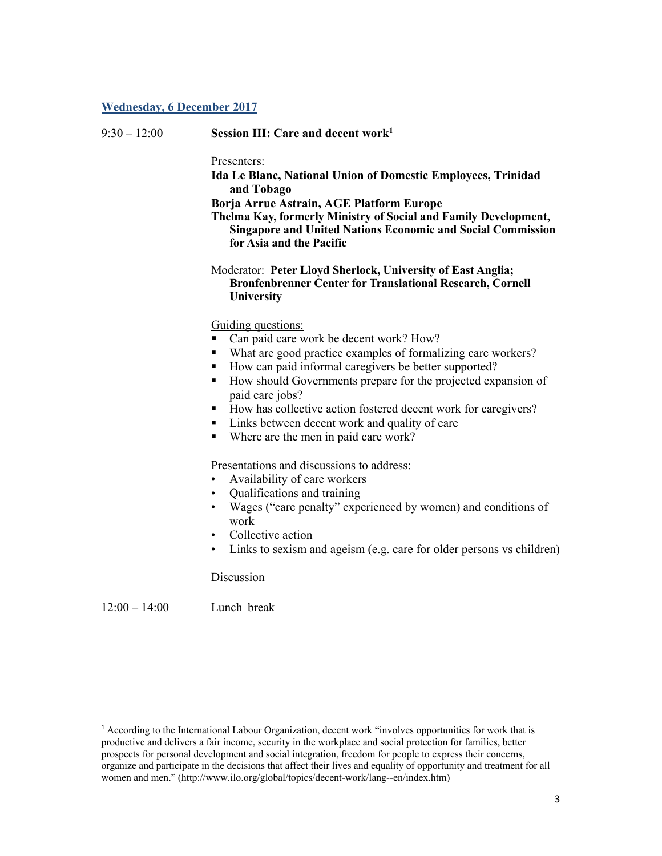#### **Wednesday, 6 December 2017**

| $9:30 - 12:00$ | Session III: Care and decent work $1$ |  |
|----------------|---------------------------------------|--|
|                |                                       |  |

Presenters:

**Ida Le Blanc, National Union of Domestic Employees, Trinidad and Tobago** 

**Borja Arrue Astrain, AGE Platform Europe** 

**Thelma Kay, formerly Ministry of Social and Family Development, Singapore and United Nations Economic and Social Commission for Asia and the Pacific**

Moderator: **Peter Lloyd Sherlock, University of East Anglia; Bronfenbrenner Center for Translational Research, Cornell University** 

Guiding questions:

- Can paid care work be decent work? How?
- What are good practice examples of formalizing care workers?
- How can paid informal caregivers be better supported?
- How should Governments prepare for the projected expansion of paid care jobs?
- How has collective action fostered decent work for caregivers?
- Links between decent work and quality of care
- Where are the men in paid care work?

Presentations and discussions to address:

- Availability of care workers
- Qualifications and training
- Wages ("care penalty" experienced by women) and conditions of work
- Collective action
- Links to sexism and ageism (e.g. care for older persons vs children)

Discussion

 $12:00 - 14:00$  Lunch break

<sup>1</sup> According to the International Labour Organization, decent work "involves opportunities for work that is productive and delivers a fair income, security in the workplace and social protection for families, better prospects for personal development and social integration, freedom for people to express their concerns, organize and participate in the decisions that affect their lives and equality of opportunity and treatment for all women and men." (http://www.ilo.org/global/topics/decent-work/lang--en/index.htm)